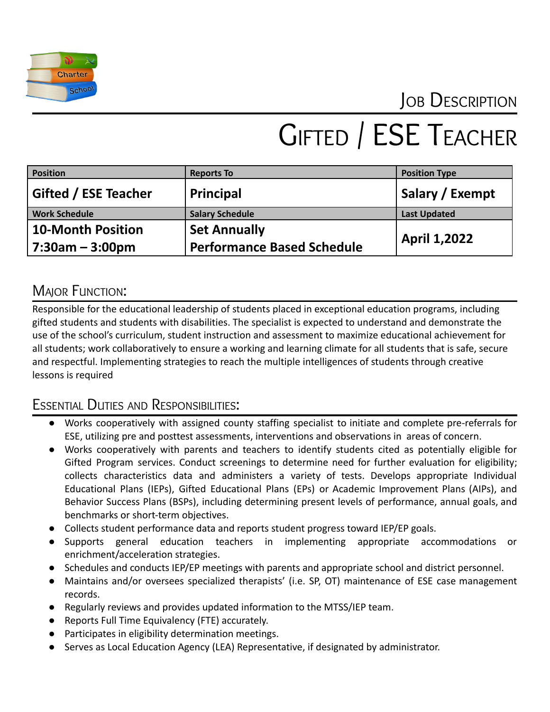

## JOB DESCRIPTION

# GIFTED / ESE TEACHER

| <b>Position</b>          | <b>Reports To</b>                 | <b>Position Type</b> |
|--------------------------|-----------------------------------|----------------------|
| Gifted / ESE Teacher     | Principal                         | Salary / Exempt      |
| <b>Work Schedule</b>     | <b>Salary Schedule</b>            | <b>Last Updated</b>  |
| <b>10-Month Position</b> | <b>Set Annually</b>               | <b>April 1,2022</b>  |
| $7:30$ am – 3:00pm       | <b>Performance Based Schedule</b> |                      |

### **MAJOR FUNCTION:**

Responsible for the educational leadership of students placed in exceptional education programs, including gifted students and students with disabilities. The specialist is expected to understand and demonstrate the use of the school's curriculum, student instruction and assessment to maximize educational achievement for all students; work collaboratively to ensure a working and learning climate for all students that is safe, secure and respectful. Implementing strategies to reach the multiple intelligences of students through creative lessons is required

#### ESSENTIAL DUTIES AND RESPONSIBILITIES:

- Works cooperatively with assigned county staffing specialist to initiate and complete pre-referrals for ESE, utilizing pre and posttest assessments, interventions and observations in areas of concern.
- Works cooperatively with parents and teachers to identify students cited as potentially eligible for Gifted Program services. Conduct screenings to determine need for further evaluation for eligibility; collects characteristics data and administers a variety of tests. Develops appropriate Individual Educational Plans (IEPs), Gifted Educational Plans (EPs) or Academic Improvement Plans (AIPs), and Behavior Success Plans (BSPs), including determining present levels of performance, annual goals, and benchmarks or short-term objectives.
- Collects student performance data and reports student progress toward IEP/EP goals.
- Supports general education teachers in implementing appropriate accommodations or enrichment/acceleration strategies.
- Schedules and conducts IEP/EP meetings with parents and appropriate school and district personnel.
- Maintains and/or oversees specialized therapists' (i.e. SP, OT) maintenance of ESE case management records.
- Regularly reviews and provides updated information to the MTSS/IEP team.
- Reports Full Time Equivalency (FTE) accurately.
- Participates in eligibility determination meetings.
- Serves as Local Education Agency (LEA) Representative, if designated by administrator.